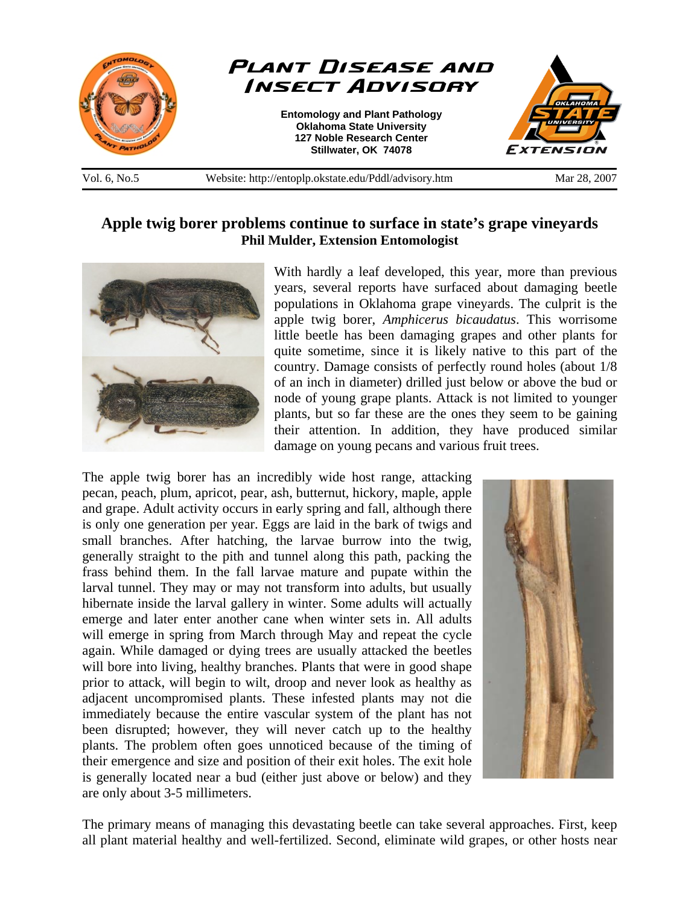

Vol. 6, No.5 Website: http://entoplp.okstate.edu/Pddl/advisory.htm Mar 28, 2007

## **Apple twig borer problems continue to surface in state's grape vineyards Phil Mulder, Extension Entomologist**



With hardly a leaf developed, this year, more than previous years, several reports have surfaced about damaging beetle populations in Oklahoma grape vineyards. The culprit is the apple twig borer, *Amphicerus bicaudatus*. This worrisome little beetle has been damaging grapes and other plants for quite sometime, since it is likely native to this part of the country. Damage consists of perfectly round holes (about 1/8 of an inch in diameter) drilled just below or above the bud or node of young grape plants. Attack is not limited to younger plants, but so far these are the ones they seem to be gaining their attention. In addition, they have produced similar damage on young pecans and various fruit trees.

The apple twig borer has an incredibly wide host range, attacking pecan, peach, plum, apricot, pear, ash, butternut, hickory, maple, apple and grape. Adult activity occurs in early spring and fall, although there is only one generation per year. Eggs are laid in the bark of twigs and small branches. After hatching, the larvae burrow into the twig, generally straight to the pith and tunnel along this path, packing the frass behind them. In the fall larvae mature and pupate within the larval tunnel. They may or may not transform into adults, but usually hibernate inside the larval gallery in winter. Some adults will actually emerge and later enter another cane when winter sets in. All adults will emerge in spring from March through May and repeat the cycle again. While damaged or dying trees are usually attacked the beetles will bore into living, healthy branches. Plants that were in good shape prior to attack, will begin to wilt, droop and never look as healthy as adjacent uncompromised plants. These infested plants may not die immediately because the entire vascular system of the plant has not been disrupted; however, they will never catch up to the healthy plants. The problem often goes unnoticed because of the timing of their emergence and size and position of their exit holes. The exit hole is generally located near a bud (either just above or below) and they are only about 3-5 millimeters.



The primary means of managing this devastating beetle can take several approaches. First, keep all plant material healthy and well-fertilized. Second, eliminate wild grapes, or other hosts near